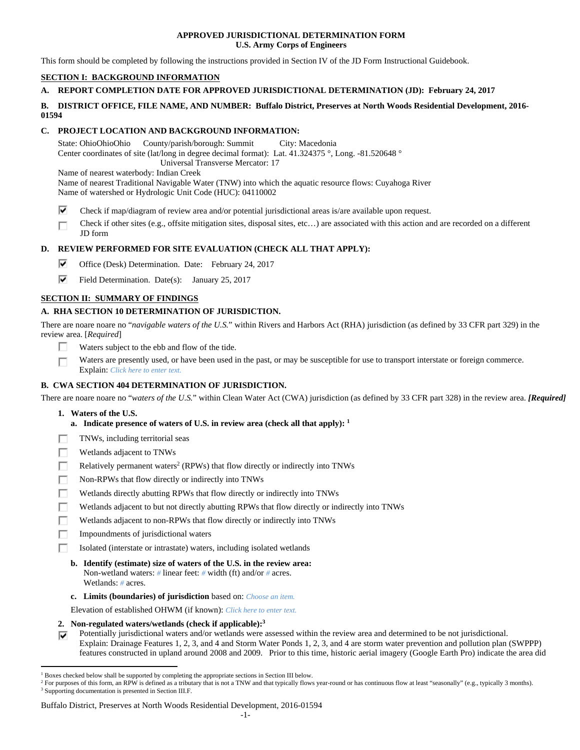## **APPROVED JURISDICTIONAL DETERMINATION FORM U.S. Army Corps of Engineers**

This form should be completed by following the instructions provided in Section IV of the JD Form Instructional Guidebook.

# **SECTION I: BACKGROUND INFORMATION**

## **A. REPORT COMPLETION DATE FOR APPROVED JURISDICTIONAL DETERMINATION (JD): February 24, 2017**

## **B. DISTRICT OFFICE, FILE NAME, AND NUMBER: Buffalo District, Preserves at North Woods Residential Development, 2016- 01594**

## **C. PROJECT LOCATION AND BACKGROUND INFORMATION:**

State: OhioOhioOhio County/parish/borough: Summit City: Macedonia Center coordinates of site (lat/long in degree decimal format): Lat. 41.324375 °, Long. -81.520648 ° Universal Transverse Mercator: 17 Name of nearest waterbody: Indian Creek

Name of nearest Traditional Navigable Water (TNW) into which the aquatic resource flows: Cuyahoga River Name of watershed or Hydrologic Unit Code (HUC): 04110002

- ⊽ Check if map/diagram of review area and/or potential jurisdictional areas is/are available upon request.
- Check if other sites (e.g., offsite mitigation sites, disposal sites, etc…) are associated with this action and are recorded on a different JD form

# **D. REVIEW PERFORMED FOR SITE EVALUATION (CHECK ALL THAT APPLY):**

- ⊽. Office (Desk) Determination. Date: February 24, 2017
- ⊽⊹ Field Determination. Date(s): January 25, 2017

## **SECTION II: SUMMARY OF FINDINGS**

# **A. RHA SECTION 10 DETERMINATION OF JURISDICTION.**

There are noare noare no "*navigable waters of the U.S.*" within Rivers and Harbors Act (RHA) jurisdiction (as defined by 33 CFR part 329) in the review area. [*Required*]

- П. Waters subject to the ebb and flow of the tide.
- Waters are presently used, or have been used in the past, or may be susceptible for use to transport interstate or foreign commerce. П Explain: *Click here to enter text.*

## **B. CWA SECTION 404 DETERMINATION OF JURISDICTION.**

There are noare noare no "*waters of the U.S.*" within Clean Water Act (CWA) jurisdiction (as defined by 33 CFR part 328) in the review area. *[Required]* 

 **1. Waters of the U.S.** 

 $\overline{a}$ 

- **a. Indicate presence of waters of U.S. in review area (check all that apply): 1**
- TNWs, including territorial seas Е
- Wetlands adjacent to TNWs п
- Relatively permanent waters<sup>2</sup> (RPWs) that flow directly or indirectly into TNWs п
- г Non-RPWs that flow directly or indirectly into TNWs
- Wetlands directly abutting RPWs that flow directly or indirectly into TNWs п
- Е Wetlands adjacent to but not directly abutting RPWs that flow directly or indirectly into TNWs
- г Wetlands adjacent to non-RPWs that flow directly or indirectly into TNWs
- п Impoundments of jurisdictional waters
- Isolated (interstate or intrastate) waters, including isolated wetlands П.
	- **b. Identify (estimate) size of waters of the U.S. in the review area:**  Non-wetland waters: *#* linear feet: *#* width (ft) and/or *#* acres. Wetlands: *#* acres.
	- **c. Limits (boundaries) of jurisdiction** based on: *Choose an item.*

Elevation of established OHWM (if known): *Click here to enter text.*

- **2. Non-regulated waters/wetlands (check if applicable):3**
- Potentially jurisdictional waters and/or wetlands were assessed within the review area and determined to be not jurisdictional. ⊽ Explain: Drainage Features 1, 2, 3, and 4 and Storm Water Ponds 1, 2, 3, and 4 are storm water prevention and pollution plan (SWPPP) features constructed in upland around 2008 and 2009. Prior to this time, historic aerial imagery (Google Earth Pro) indicate the area did

#### Buffalo District, Preserves at North Woods Residential Development, 2016-01594

<sup>&</sup>lt;sup>1</sup> Boxes checked below shall be supported by completing the appropriate sections in Section III below.<br><sup>2</sup> For purposes of this form, an PPW is defined as a tributary that is not a TNW and that typically flows

For purposes of this form, an RPW is defined as a tributary that is not a TNW and that typically flows year-round or has continuous flow at least "seasonally" (e.g., typically 3 months). <sup>3</sup> Supporting documentation is presented in Section III.F.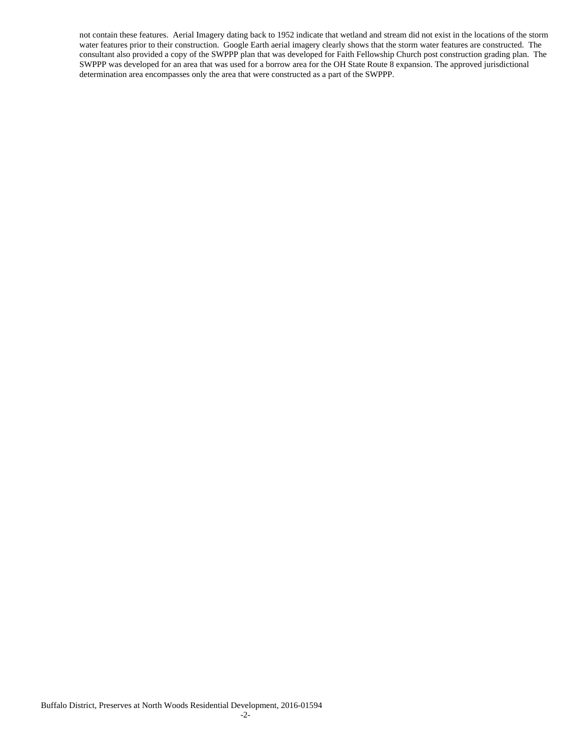not contain these features. Aerial Imagery dating back to 1952 indicate that wetland and stream did not exist in the locations of the storm water features prior to their construction. Google Earth aerial imagery clearly shows that the storm water features are constructed. The consultant also provided a copy of the SWPPP plan that was developed for Faith Fellowship Church post construction grading plan. The SWPPP was developed for an area that was used for a borrow area for the OH State Route 8 expansion. The approved jurisdictional determination area encompasses only the area that were constructed as a part of the SWPPP.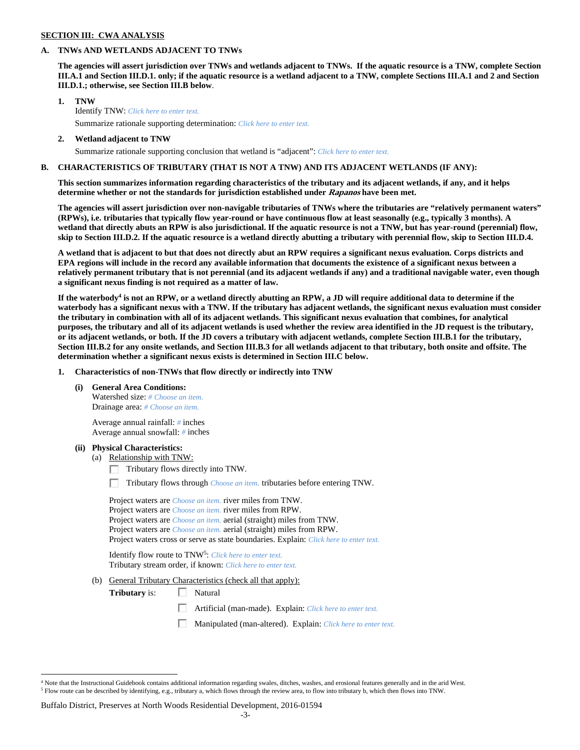### **SECTION III: CWA ANALYSIS**

#### **A. TNWs AND WETLANDS ADJACENT TO TNWs**

**The agencies will assert jurisdiction over TNWs and wetlands adjacent to TNWs. If the aquatic resource is a TNW, complete Section III.A.1 and Section III.D.1. only; if the aquatic resource is a wetland adjacent to a TNW, complete Sections III.A.1 and 2 and Section III.D.1.; otherwise, see Section III.B below**.

- **1. TNW**  Identify TNW: *Click here to enter text.*
	- Summarize rationale supporting determination: *Click here to enter text.*
- **2. Wetland adjacent to TNW**  Summarize rationale supporting conclusion that wetland is "adjacent": *Click here to enter text.*

## **B. CHARACTERISTICS OF TRIBUTARY (THAT IS NOT A TNW) AND ITS ADJACENT WETLANDS (IF ANY):**

**This section summarizes information regarding characteristics of the tributary and its adjacent wetlands, if any, and it helps determine whether or not the standards for jurisdiction established under Rapanos have been met.** 

**The agencies will assert jurisdiction over non-navigable tributaries of TNWs where the tributaries are "relatively permanent waters" (RPWs), i.e. tributaries that typically flow year-round or have continuous flow at least seasonally (e.g., typically 3 months). A wetland that directly abuts an RPW is also jurisdictional. If the aquatic resource is not a TNW, but has year-round (perennial) flow, skip to Section III.D.2. If the aquatic resource is a wetland directly abutting a tributary with perennial flow, skip to Section III.D.4.** 

**A wetland that is adjacent to but that does not directly abut an RPW requires a significant nexus evaluation. Corps districts and EPA regions will include in the record any available information that documents the existence of a significant nexus between a relatively permanent tributary that is not perennial (and its adjacent wetlands if any) and a traditional navigable water, even though a significant nexus finding is not required as a matter of law.** 

If the waterbody<sup>4</sup> is not an RPW, or a wetland directly abutting an RPW, a JD will require additional data to determine if the **waterbody has a significant nexus with a TNW. If the tributary has adjacent wetlands, the significant nexus evaluation must consider the tributary in combination with all of its adjacent wetlands. This significant nexus evaluation that combines, for analytical purposes, the tributary and all of its adjacent wetlands is used whether the review area identified in the JD request is the tributary, or its adjacent wetlands, or both. If the JD covers a tributary with adjacent wetlands, complete Section III.B.1 for the tributary, Section III.B.2 for any onsite wetlands, and Section III.B.3 for all wetlands adjacent to that tributary, both onsite and offsite. The determination whether a significant nexus exists is determined in Section III.C below.** 

 **1. Characteristics of non-TNWs that flow directly or indirectly into TNW** 

 **(i) General Area Conditions:** 

 Watershed size: *# Choose an item.* Drainage area: *# Choose an item.*

 Average annual rainfall: *#* inches Average annual snowfall: *#* inches

#### **(ii) Physical Characteristics:**

 $\overline{a}$ 

- (a) Relationship with TNW:
	- $\Box$  Tributary flows directly into TNW.

п Tributary flows through *Choose an item.* tributaries before entering TNW.

 Project waters are *Choose an item.* river miles from TNW. Project waters are *Choose an item.* river miles from RPW. Project waters are *Choose an item.* aerial (straight) miles from TNW. Project waters are *Choose an item.* aerial (straight) miles from RPW. Project waters cross or serve as state boundaries. Explain: *Click here to enter text.*

Identify flow route to TNW5: *Click here to enter text.* Tributary stream order, if known: *Click here to enter text.*

(b) General Tributary Characteristics (check all that apply):

**Tributary** is:  $\Box$  Natural

口 Artificial (man-made). Explain: *Click here to enter text.*

Manipulated (man-altered). Explain: *Click here to enter text.*

#### Buffalo District, Preserves at North Woods Residential Development, 2016-01594

<sup>&</sup>lt;sup>4</sup> Note that the Instructional Guidebook contains additional information regarding swales, ditches, washes, and erosional features generally and in the arid West.  $^5$  Flow route can be described by identifying, e.g., tributary a, which flows through the review area, to flow into tributary b, which then flows into TNW.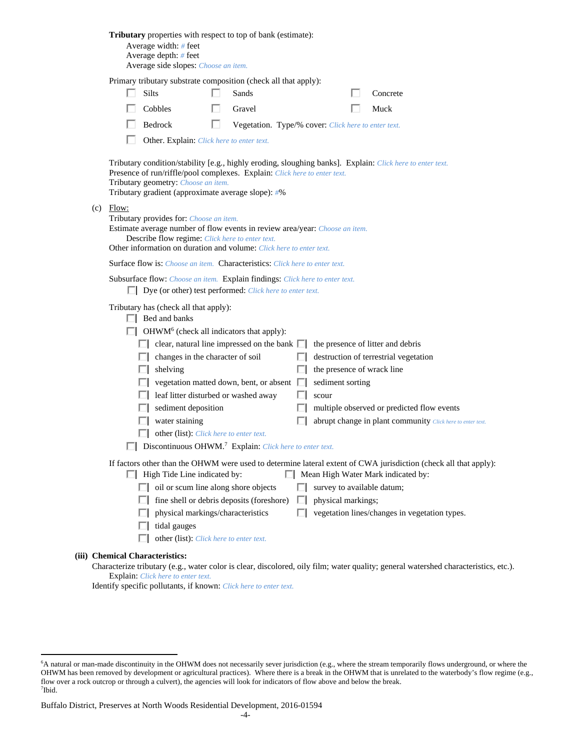|     | Tributary properties with respect to top of bank (estimate):<br>Average width: $#$ feet<br>Average depth: # feet<br>Average side slopes: Choose an item.                                                                                                                                                                                                                                                                                                                                                                                                                                                                                                                                                                                                                                                                                                                                                                                                                                                                                                                                                                                                                                                                                        |
|-----|-------------------------------------------------------------------------------------------------------------------------------------------------------------------------------------------------------------------------------------------------------------------------------------------------------------------------------------------------------------------------------------------------------------------------------------------------------------------------------------------------------------------------------------------------------------------------------------------------------------------------------------------------------------------------------------------------------------------------------------------------------------------------------------------------------------------------------------------------------------------------------------------------------------------------------------------------------------------------------------------------------------------------------------------------------------------------------------------------------------------------------------------------------------------------------------------------------------------------------------------------|
|     | Primary tributary substrate composition (check all that apply):                                                                                                                                                                                                                                                                                                                                                                                                                                                                                                                                                                                                                                                                                                                                                                                                                                                                                                                                                                                                                                                                                                                                                                                 |
|     | Silts<br>Sands<br>Concrete                                                                                                                                                                                                                                                                                                                                                                                                                                                                                                                                                                                                                                                                                                                                                                                                                                                                                                                                                                                                                                                                                                                                                                                                                      |
|     | Cobbles<br>Gravel<br>Muck                                                                                                                                                                                                                                                                                                                                                                                                                                                                                                                                                                                                                                                                                                                                                                                                                                                                                                                                                                                                                                                                                                                                                                                                                       |
|     | Bedrock<br>Vegetation. Type/% cover: Click here to enter text.                                                                                                                                                                                                                                                                                                                                                                                                                                                                                                                                                                                                                                                                                                                                                                                                                                                                                                                                                                                                                                                                                                                                                                                  |
|     | Other. Explain: Click here to enter text.                                                                                                                                                                                                                                                                                                                                                                                                                                                                                                                                                                                                                                                                                                                                                                                                                                                                                                                                                                                                                                                                                                                                                                                                       |
|     | Tributary condition/stability [e.g., highly eroding, sloughing banks]. Explain: Click here to enter text.<br>Presence of run/riffle/pool complexes. Explain: Click here to enter text.<br>Tributary geometry: Choose an item.<br>Tributary gradient (approximate average slope): #%                                                                                                                                                                                                                                                                                                                                                                                                                                                                                                                                                                                                                                                                                                                                                                                                                                                                                                                                                             |
| (c) | Flow:<br>Tributary provides for: Choose an item.<br>Estimate average number of flow events in review area/year: Choose an item.<br>Describe flow regime: Click here to enter text.<br>Other information on duration and volume: Click here to enter text.                                                                                                                                                                                                                                                                                                                                                                                                                                                                                                                                                                                                                                                                                                                                                                                                                                                                                                                                                                                       |
|     | <b>Surface flow is:</b> Choose an item. <b>Characteristics:</b> Click here to enter text.                                                                                                                                                                                                                                                                                                                                                                                                                                                                                                                                                                                                                                                                                                                                                                                                                                                                                                                                                                                                                                                                                                                                                       |
|     | Subsurface flow: Choose an item. Explain findings: Click here to enter text.<br>$\Box$ Dye (or other) test performed: <i>Click here to enter text</i> .                                                                                                                                                                                                                                                                                                                                                                                                                                                                                                                                                                                                                                                                                                                                                                                                                                                                                                                                                                                                                                                                                         |
|     | Tributary has (check all that apply):<br>$\Box$ Bed and banks<br>OHWM <sup>6</sup> (check all indicators that apply):<br>clear, natural line impressed on the bank $\Box$<br>the presence of litter and debris<br>changes in the character of soil<br>destruction of terrestrial vegetation<br>the presence of wrack line<br>shelving<br>vegetation matted down, bent, or absent $\Box$<br>sediment sorting<br>leaf litter disturbed or washed away<br>scour<br>sediment deposition<br>multiple observed or predicted flow events<br>water staining<br>abrupt change in plant community Click here to enter text.<br>other (list): Click here to enter text.<br>Discontinuous OHWM. <sup>7</sup> Explain: Click here to enter text.<br>If factors other than the OHWM were used to determine lateral extent of CWA jurisdiction (check all that apply):<br>Mean High Water Mark indicated by:<br>$\Box$ High Tide Line indicated by:<br>$\Box$ oil or scum line along shore objects<br>survey to available datum;<br>fine shell or debris deposits (foreshore)<br>physical markings;<br>$\Box$<br>physical markings/characteristics<br>vegetation lines/changes in vegetation types.<br>tidal gauges<br>other (list): Click here to enter text. |
|     | (iii) Chemical Characteristics:<br>Characterize tributary (e.g., water color is clear, discolored, oily film; water quality; general watershed characteristics, etc.).                                                                                                                                                                                                                                                                                                                                                                                                                                                                                                                                                                                                                                                                                                                                                                                                                                                                                                                                                                                                                                                                          |

Explain: *Click here to enter text.* Identify specific pollutants, if known: *Click here to enter text.*

 $\overline{a}$ 

<sup>6</sup> A natural or man-made discontinuity in the OHWM does not necessarily sever jurisdiction (e.g., where the stream temporarily flows underground, or where the OHWM has been removed by development or agricultural practices). Where there is a break in the OHWM that is unrelated to the waterbody's flow regime (e.g., flow over a rock outcrop or through a culvert), the agencies will look for indicators of flow above and below the break. 7 Ibid.

Buffalo District, Preserves at North Woods Residential Development, 2016-01594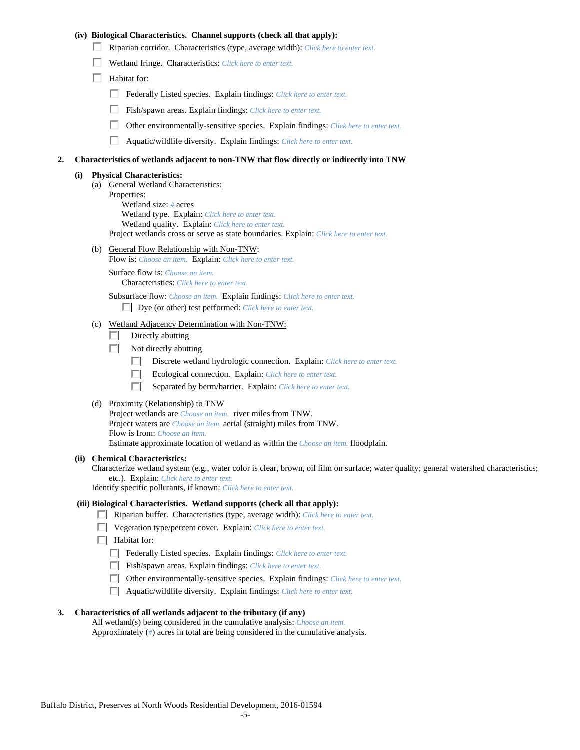## **(iv) Biological Characteristics. Channel supports (check all that apply):**

- Riparian corridor. Characteristics (type, average width): *Click here to enter text.*
- Wetland fringe. Characteristics: *Click here to enter text.*
- $\Box$  Habitat for:
	- Federally Listed species. Explain findings: *Click here to enter text*.
	- п. Fish/spawn areas. Explain findings: *Click here to enter text.*
	- п. Other environmentally-sensitive species. Explain findings: *Click here to enter text.*
	- п. Aquatic/wildlife diversity. Explain findings: *Click here to enter text.*

#### **2. Characteristics of wetlands adjacent to non-TNW that flow directly or indirectly into TNW**

#### **(i) Physical Characteristics:**

- (a) General Wetland Characteristics:
	- Properties:

 Wetland size: *#* acres Wetland type. Explain: *Click here to enter text.*

Wetland quality. Explain: *Click here to enter text.*

Project wetlands cross or serve as state boundaries. Explain: *Click here to enter text.*

(b) General Flow Relationship with Non-TNW: Flow is: *Choose an item.* Explain: *Click here to enter text.*

 Surface flow is: *Choose an item.* Characteristics: *Click here to enter text.*

Subsurface flow: *Choose an item.* Explain findings: *Click here to enter text.*

Dye (or other) test performed: *Click here to enter text.*

#### (c) Wetland Adjacency Determination with Non-TNW:

- $\Box$  Directly abutting
- $\Box$  Not directly abutting
	- п. Discrete wetland hydrologic connection. Explain: *Click here to enter text.*
	- Ecological connection. Explain: *Click here to enter text.* O.
	- O. Separated by berm/barrier. Explain: *Click here to enter text.*
- (d) Proximity (Relationship) to TNW

Project wetlands are *Choose an item.* river miles from TNW. Project waters are *Choose an item.* aerial (straight) miles from TNW. Flow is from: *Choose an item.* Estimate approximate location of wetland as within the *Choose an item.* floodplain.

#### **(ii) Chemical Characteristics:**

Characterize wetland system (e.g., water color is clear, brown, oil film on surface; water quality; general watershed characteristics; etc.). Explain: *Click here to enter text.*

Identify specific pollutants, if known: *Click here to enter text.*

### **(iii) Biological Characteristics. Wetland supports (check all that apply):**

- Riparian buffer. Characteristics (type, average width): *Click here to enter text.*
- Vegetation type/percent cover. Explain: *Click here to enter text.*
- $\Box$  Habitat for:
	- Federally Listed species. Explain findings: *Click here to enter text*.
	- Fish/spawn areas. Explain findings: *Click here to enter text*.
	- Other environmentally-sensitive species. Explain findings: *Click here to enter text.*
	- Aquatic/wildlife diversity. Explain findings: *Click here to enter text.*

#### **3. Characteristics of all wetlands adjacent to the tributary (if any)**

 All wetland(s) being considered in the cumulative analysis: *Choose an item.* Approximately (*#*) acres in total are being considered in the cumulative analysis.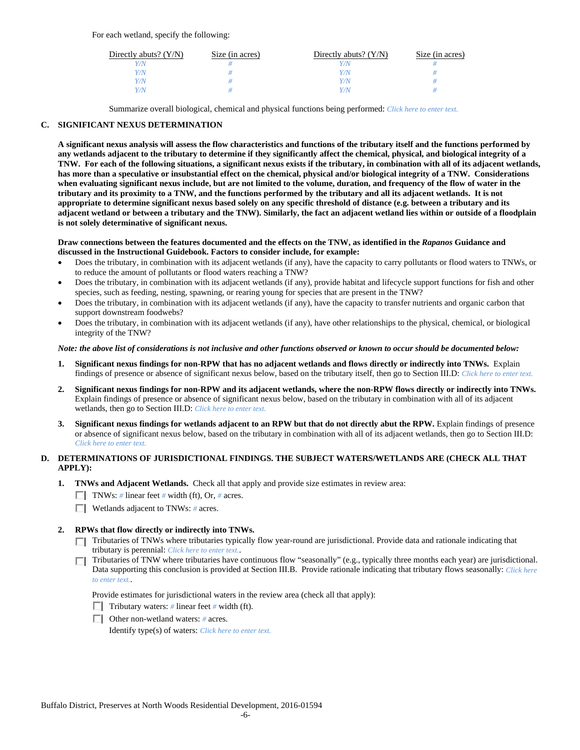| Directly abuts? $(Y/N)$ | Size (in acres) | Directly abuts? $(Y/N)$ | Size (in acres) |
|-------------------------|-----------------|-------------------------|-----------------|
| V/N                     |                 |                         |                 |
| Y/N                     |                 | $^{\prime}$ /N          |                 |
| Y/N                     |                 | 77N                     |                 |
| Y/N.                    |                 | 77N                     |                 |

Summarize overall biological, chemical and physical functions being performed: *Click here to enter text.*

## **C. SIGNIFICANT NEXUS DETERMINATION**

**A significant nexus analysis will assess the flow characteristics and functions of the tributary itself and the functions performed by any wetlands adjacent to the tributary to determine if they significantly affect the chemical, physical, and biological integrity of a TNW. For each of the following situations, a significant nexus exists if the tributary, in combination with all of its adjacent wetlands, has more than a speculative or insubstantial effect on the chemical, physical and/or biological integrity of a TNW. Considerations when evaluating significant nexus include, but are not limited to the volume, duration, and frequency of the flow of water in the tributary and its proximity to a TNW, and the functions performed by the tributary and all its adjacent wetlands. It is not appropriate to determine significant nexus based solely on any specific threshold of distance (e.g. between a tributary and its adjacent wetland or between a tributary and the TNW). Similarly, the fact an adjacent wetland lies within or outside of a floodplain is not solely determinative of significant nexus.** 

#### **Draw connections between the features documented and the effects on the TNW, as identified in the** *Rapanos* **Guidance and discussed in the Instructional Guidebook. Factors to consider include, for example:**

- Does the tributary, in combination with its adjacent wetlands (if any), have the capacity to carry pollutants or flood waters to TNWs, or to reduce the amount of pollutants or flood waters reaching a TNW?
- Does the tributary, in combination with its adjacent wetlands (if any), provide habitat and lifecycle support functions for fish and other species, such as feeding, nesting, spawning, or rearing young for species that are present in the TNW?
- Does the tributary, in combination with its adjacent wetlands (if any), have the capacity to transfer nutrients and organic carbon that support downstream foodwebs?
- Does the tributary, in combination with its adjacent wetlands (if any), have other relationships to the physical, chemical, or biological integrity of the TNW?

#### *Note: the above list of considerations is not inclusive and other functions observed or known to occur should be documented below:*

- **1. Significant nexus findings for non-RPW that has no adjacent wetlands and flows directly or indirectly into TNWs.** Explain findings of presence or absence of significant nexus below, based on the tributary itself, then go to Section III.D: *Click here to enter text.*
- **2. Significant nexus findings for non-RPW and its adjacent wetlands, where the non-RPW flows directly or indirectly into TNWs.**  Explain findings of presence or absence of significant nexus below, based on the tributary in combination with all of its adjacent wetlands, then go to Section III.D: *Click here to enter text.*
- **3. Significant nexus findings for wetlands adjacent to an RPW but that do not directly abut the RPW.** Explain findings of presence or absence of significant nexus below, based on the tributary in combination with all of its adjacent wetlands, then go to Section III.D: *Click here to enter text.*

## **D. DETERMINATIONS OF JURISDICTIONAL FINDINGS. THE SUBJECT WATERS/WETLANDS ARE (CHECK ALL THAT APPLY):**

- **1. TNWs and Adjacent Wetlands.** Check all that apply and provide size estimates in review area:
	- TNWs: *#* linear feet *#* width (ft), Or, *#* acres.
	- Wetlands adjacent to TNWs: *#* acres.
- **2. RPWs that flow directly or indirectly into TNWs.** 
	- Tributaries of TNWs where tributaries typically flow year-round are jurisdictional. Provide data and rationale indicating that tributary is perennial: *Click here to enter text.*.
	- Tributaries of TNW where tributaries have continuous flow "seasonally" (e.g., typically three months each year) are jurisdictional. Data supporting this conclusion is provided at Section III.B. Provide rationale indicating that tributary flows seasonally: *Click here to enter text.*.

Provide estimates for jurisdictional waters in the review area (check all that apply):

- Tributary waters:  $\#$  linear feet  $\#$  width (ft).
- Other non-wetland waters: *#* acres.

Identify type(s) of waters: *Click here to enter text.*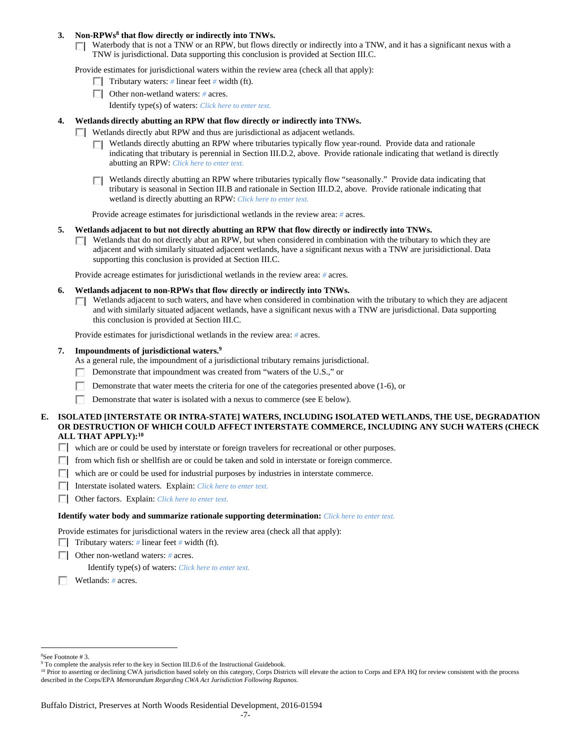### 3. Non-RPWs<sup>8</sup> that flow directly or indirectly into TNWs.

Waterbody that is not a TNW or an RPW, but flows directly or indirectly into a TNW, and it has a significant nexus with a TNW is jurisdictional. Data supporting this conclusion is provided at Section III.C.

Provide estimates for jurisdictional waters within the review area (check all that apply):

- **Tributary waters:** # linear feet # width (ft).
- Other non-wetland waters: *#* acres.
	- Identify type(s) of waters: *Click here to enter text.*

# **4. Wetlands directly abutting an RPW that flow directly or indirectly into TNWs.**

- **Wetlands directly abut RPW and thus are jurisdictional as adjacent wetlands.** 
	- Wetlands directly abutting an RPW where tributaries typically flow year-round. Provide data and rationale indicating that tributary is perennial in Section III.D.2, above. Provide rationale indicating that wetland is directly abutting an RPW: *Click here to enter text.*
	- Wetlands directly abutting an RPW where tributaries typically flow "seasonally." Provide data indicating that П tributary is seasonal in Section III.B and rationale in Section III.D.2, above. Provide rationale indicating that wetland is directly abutting an RPW: *Click here to enter text.*

Provide acreage estimates for jurisdictional wetlands in the review area: *#* acres.

- **5. Wetlands adjacent to but not directly abutting an RPW that flow directly or indirectly into TNWs.** 
	- $\Box$  Wetlands that do not directly abut an RPW, but when considered in combination with the tributary to which they are adjacent and with similarly situated adjacent wetlands, have a significant nexus with a TNW are jurisidictional. Data supporting this conclusion is provided at Section III.C.

Provide acreage estimates for jurisdictional wetlands in the review area: *#* acres.

- **6. Wetlands adjacent to non-RPWs that flow directly or indirectly into TNWs.** 
	- Wetlands adjacent to such waters, and have when considered in combination with the tributary to which they are adjacent  $\Box$ and with similarly situated adjacent wetlands, have a significant nexus with a TNW are jurisdictional. Data supporting this conclusion is provided at Section III.C.

Provide estimates for jurisdictional wetlands in the review area: *#* acres.

#### **7. Impoundments of jurisdictional waters.9**

As a general rule, the impoundment of a jurisdictional tributary remains jurisdictional.

- Demonstrate that impoundment was created from "waters of the U.S.," or
- Demonstrate that water meets the criteria for one of the categories presented above (1-6), or
- Demonstrate that water is isolated with a nexus to commerce (see E below).

## **E. ISOLATED [INTERSTATE OR INTRA-STATE] WATERS, INCLUDING ISOLATED WETLANDS, THE USE, DEGRADATION OR DESTRUCTION OF WHICH COULD AFFECT INTERSTATE COMMERCE, INCLUDING ANY SUCH WATERS (CHECK ALL THAT APPLY):10**

- which are or could be used by interstate or foreign travelers for recreational or other purposes.
- $\Box$  from which fish or shellfish are or could be taken and sold in interstate or foreign commerce.
- $\Box$  which are or could be used for industrial purposes by industries in interstate commerce.
- Interstate isolated waters.Explain: *Click here to enter text.*
- Other factors.Explain: *Click here to enter text.*

#### **Identify water body and summarize rationale supporting determination:** *Click here to enter text.*

Provide estimates for jurisdictional waters in the review area (check all that apply):

- **Tributary waters:** # linear feet # width (ft).
- Other non-wetland waters: *#* acres.

Identify type(s) of waters: *Click here to enter text.*

Wetlands: *#* acres.

 $\overline{a}$ 8 See Footnote # 3.

<sup>&</sup>lt;sup>9</sup> To complete the analysis refer to the key in Section III.D.6 of the Instructional Guidebook.

<sup>&</sup>lt;sup>10</sup> Prior to asserting or declining CWA jurisdiction based solely on this category, Corps Districts will elevate the action to Corps and EPA HQ for review consistent with the process described in the Corps/EPA *Memorandum Regarding CWA Act Jurisdiction Following Rapanos.*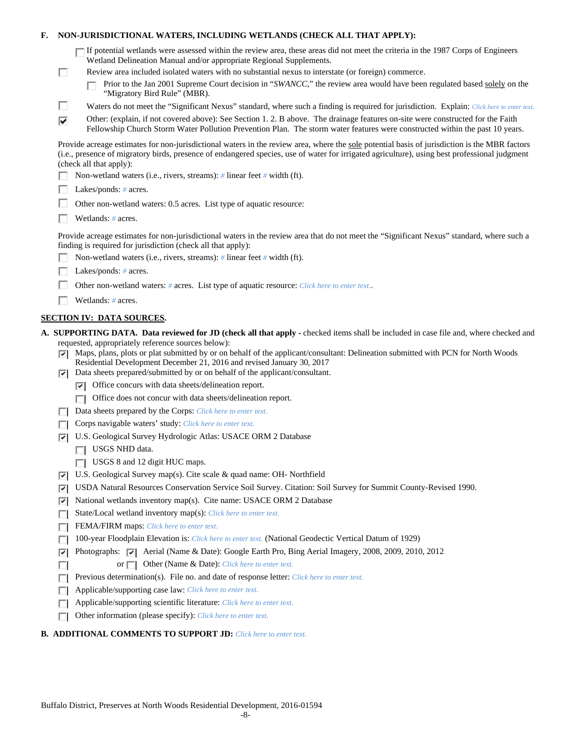## **F. NON-JURISDICTIONAL WATERS, INCLUDING WETLANDS (CHECK ALL THAT APPLY):**

| $\Box$ If potential wetlands were assessed within the review area, these areas did not meet the criteria in the 1987 Corps of Engineers |
|-----------------------------------------------------------------------------------------------------------------------------------------|
| Wetland Delineation Manual and/or appropriate Regional Supplements.                                                                     |

- Review area included isolated waters with no substantial nexus to interstate (or foreign) commerce.
	- Prior to the Jan 2001 Supreme Court decision in "*SWANCC*," the review area would have been regulated based solely on the п "Migratory Bird Rule" (MBR).
- г Waters do not meet the "Significant Nexus" standard, where such a finding is required for jurisdiction. Explain: *Click here to enter text.*
- Other: (explain, if not covered above): See Section 1. 2. B above. The drainage features on-site were constructed for the Faith ⊽ Fellowship Church Storm Water Pollution Prevention Plan. The storm water features were constructed within the past 10 years.

Provide acreage estimates for non-jurisdictional waters in the review area, where the sole potential basis of jurisdiction is the MBR factors (i.e., presence of migratory birds, presence of endangered species, use of water for irrigated agriculture), using best professional judgment (check all that apply):

- Non-wetland waters (i.e., rivers, streams): *#* linear feet *#* width (ft).
- П. Lakes/ponds: *#* acres.

П

- П. Other non-wetland waters: 0.5 acres. List type of aquatic resource:
- П. Wetlands: *#* acres.

Provide acreage estimates for non-jurisdictional waters in the review area that do not meet the "Significant Nexus" standard, where such a finding is required for jurisdiction (check all that apply):

- п Non-wetland waters (i.e., rivers, streams): *#* linear feet *#* width (ft).
- г Lakes/ponds: *#* acres.
- Other non-wetland waters: *#* acres. List type of aquatic resource: *Click here to enter text.*. Г
- Wetlands: *#* acres.

# **SECTION IV: DATA SOURCES.**

**A. SUPPORTING DATA. Data reviewed for JD (check all that apply -** checked items shall be included in case file and, where checked and requested, appropriately reference sources below):

- Maps, plans, plots or plat submitted by or on behalf of the applicant/consultant: Delineation submitted with PCN for North Woods Residential Development December 21, 2016 and revised January 30, 2017
- $\nabla$  Data sheets prepared/submitted by or on behalf of the applicant/consultant.
	- $\triangledown$  Office concurs with data sheets/delineation report.
	- $\Box$  Office does not concur with data sheets/delineation report.
- Data sheets prepared by the Corps: *Click here to enter text.*
- Corps navigable waters' study: *Click here to enter text.*
- U.S. Geological Survey Hydrologic Atlas: USACE ORM 2 Database
	- USGS NHD data.

п

- $\Box$  USGS 8 and 12 digit HUC maps.
- U.S. Geological Survey map(s). Cite scale & quad name: OH- Northfield
- USDA Natural Resources Conservation Service Soil Survey. Citation: Soil Survey for Summit County-Revised 1990.
- $|\nabla|$  National wetlands inventory map(s). Cite name: USACE ORM 2 Database
- State/Local wetland inventory map(s): *Click here to enter text.*
- FEMA/FIRM maps: *Click here to enter text.*
- 100-year Floodplain Elevation is: *Click here to enter text.* (National Geodectic Vertical Datum of 1929) П.
- **Photographs:**  $\boxed{\bullet}$  Aerial (Name & Date): Google Earth Pro, Bing Aerial Imagery, 2008, 2009, 2010, 2012
	- or  $\Box$  Other (Name & Date): *Click here to enter text.*
- **Previous determination(s). File no. and date of response letter:** *Click here to enter text.*
- Applicable/supporting case law: *Click here to enter text.* П
- Applicable/supporting scientific literature: *Click here to enter text.* П
- Other information (please specify): *Click here to enter text.* п

### **B. ADDITIONAL COMMENTS TO SUPPORT JD:** *Click here to enter text.*